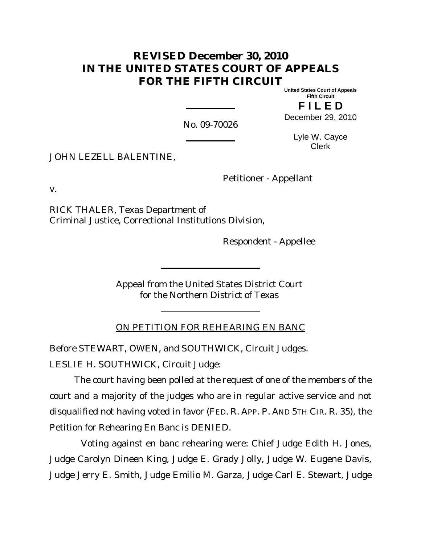# **REVISED December 30, 2010 IN THE UNITED STATES COURT OF APPEALS FOR THE FIFTH CIRCUIT**

**United States Court of Appeals Fifth Circuit**

**F I L E D** December 29, 2010

No. 09-70026

Lyle W. Cayce Clerk

JOHN LEZELL BALENTINE,

Petitioner - Appellant

v.

RICK THALER, Texas Department of Criminal Justice, Correctional Institutions Division,

Respondent - Appellee

Appeal from the United States District Court for the Northern District of Texas

ON PETITION FOR REHEARING EN BANC

Before STEWART, OWEN, and SOUTHWICK, Circuit Judges. LESLIE H. SOUTHWICK, Circuit Judge:

The court having been polled at the request of one of the members of the court and a majority of the judges who are in regular active service and not disqualified not having voted in favor (FED. R. APP. P. AND 5TH CIR. R. 35), the Petition for Rehearing En Banc is DENIED.

Voting against en banc rehearing were: Chief Judge Edith H. Jones, Judge Carolyn Dineen King, Judge E. Grady Jolly, Judge W. Eugene Davis, Judge Jerry E. Smith, Judge Emilio M. Garza, Judge Carl E. Stewart, Judge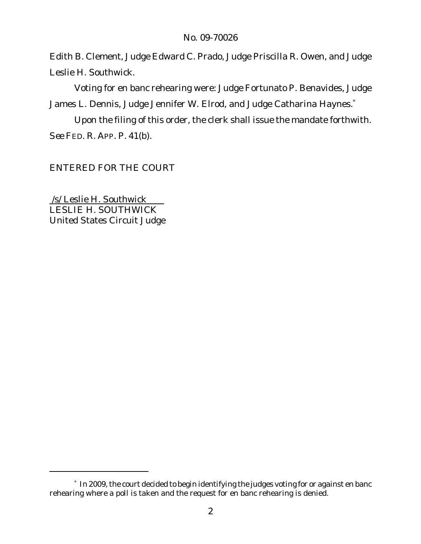Edith B. Clement, Judge Edward C. Prado, Judge Priscilla R. Owen, and Judge Leslie H. Southwick.

Voting for en banc rehearing were: Judge Fortunato P. Benavides, Judge James L. Dennis, Judge Jennifer W. Elrod, and Judge Catharina Haynes.<sup>\*</sup>

Upon the filing of this order, the clerk shall issue the mandate forthwith. *See* FED. R. APP. P. 41(b).

ENTERED FOR THE COURT

/s/ Leslie H. Southwick LESLIE H. SOUTHWICK United States Circuit Judge

<sup>\*</sup> In 2009, the court decided to begin identifying the judges voting for or against en banc rehearing where a poll is taken and the request for en banc rehearing is denied.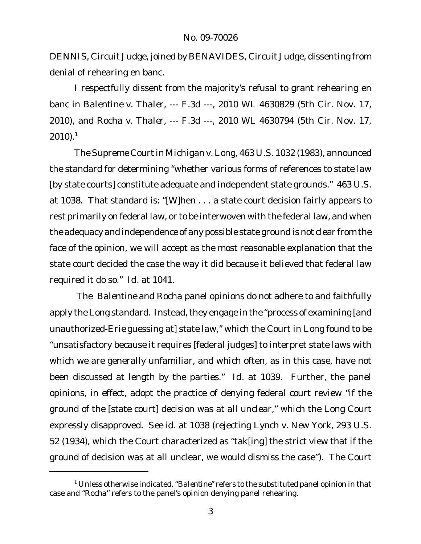DENNIS, Circuit Judge, joined by BENAVIDES, Circuit Judge, dissenting from denial of rehearing en banc.

I respectfully dissent from the majority's refusal to grant rehearing en banc in *Balentine v. Thaler*, --- F.3d ---, 2010 WL 4630829 (5th Cir. Nov. 17, 2010), and *Rocha v. Thaler*, --- F.3d ---, 2010 WL 4630794 (5th Cir. Nov. 17,  $2010$ ).<sup>1</sup>

The Supreme Courtin *Michigan v.Long*, 463 U.S. 1032 (1983), announced the standard for determining "whether various forms of references to state law [by state courts] constitute adequate and independent state grounds." 463 U.S. at 1038. That standard is: "[W]hen . . . a state court decision fairly appears to rest primarily on federal law, or to be interwoven with the federal law, and when the adequacy and independence of any possible state ground is not clear from the face of the opinion, we will accept as the most reasonable explanation that the state court decided the case the way it did because it believed that federal law required it do so." *Id.* at 1041.

The *Balentine* and *Rocha* panel opinions do not adhere to and faithfully apply the *Long* standard. Instead, they engage in the "process of examining [and unauthorized-*Erie* guessing at] state law," which the Court in *Long* found to be "unsatisfactory because it requires [federal judges] to interpret state laws with which we are generally unfamiliar, and which often, as in this case, have not been discussed at length by the parties." *Id.* at 1039. Further, the panel opinions, in effect, adopt the practice of denying federal court review "if the ground of the [state court] decision was at all unclear," which the *Long* Court expressly disapproved. *See id.* at 1038 (rejecting *Lynch v. New York*, 293 U.S. 52 (1934), which the Court characterized as "tak[ing] the strict view that if the ground of decision was at all unclear, we would dismiss the case"). The Court

<sup>1</sup> Unless otherwise indicated, "*Balentine*" refers to the substituted panel opinion in that case and "*Rocha*" refers to the panel's opinion denying panel rehearing.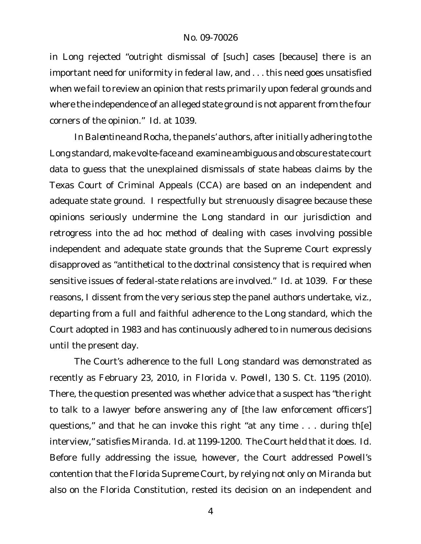in *Long* rejected "outright dismissal of [such] cases [because] there is an important need for uniformity in federal law, and . . . this need goes unsatisfied when we fail to review an opinion that rests primarily upon federal grounds and where the independence of an alleged state ground is not apparent from the four corners of the opinion." *Id.* at 1039.

In Balentine and Rocha, the panels' authors, after initially adhering to the *Long* standard, make volte-face and examine ambiguous and obscure state court data to guess that the unexplained dismissals of state habeas claims by the Texas Court of Criminal Appeals (CCA) are based on an independent and adequate state ground. I respectfully but strenuously disagree because these opinions seriously undermine the *Long* standard in our jurisdiction and retrogress into the ad hoc method of dealing with cases involving possible independent and adequate state grounds that the Supreme Court expressly disapproved as "antithetical to the doctrinal consistency that is required when sensitive issues of federal-state relations are involved." *Id.* at 1039. For these reasons, I dissent from the very serious step the panel authors undertake, *viz.*, departing from a full and faithful adherence to the *Long* standard, which the Court adopted in 1983 and has continuously adhered to in numerous decisions until the present day.

The Court's adherence to the full *Long* standard was demonstrated as recently as February 23, 2010, in *Florida v. Powell*, 130 S. Ct. 1195 (2010). There, the question presented was whether advice that a suspect has "the right to talk to a lawyer before answering any of [the law enforcement officers'] questions," and that he can invoke this right "at any time . . . during th[e] interview," satisfies *Miranda*. *Id.* at 1199-1200. The Court held that it does. *Id.* Before fully addressing the issue, however, the Court addressed Powell's contention that the Florida Supreme Court, by relying not only on *Miranda* but also on the Florida Constitution, rested its decision on an independent and

4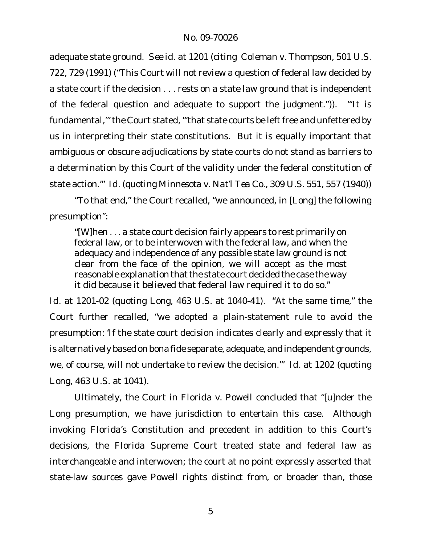adequate state ground. *See id.* at 1201 (citing *Coleman v. Thompson*, 501 U.S. 722, 729 (1991) ("This Court will not review a question of federal law decided by a state court if the decision . . . rests on a state law ground that is independent of the federal question and adequate to support the judgment.")). "'It is fundamental," the Court stated, "'that state courts be left free and unfettered by us in interpreting their state constitutions. But it is equally important that ambiguous or obscure adjudications by state courts do not stand as barriers to a determination by this Court of the validity under the federal constitution of state action.'" *Id.* (quoting *Minnesota v. Nat'l Tea Co.*, 309 U.S. 551, 557 (1940))

"To that end," the Court recalled, "we announced, in [*Long*] the following presumption":

"[W]hen . . . a state court decision fairly appears to rest primarily on federal law, or to be interwoven with the federal law, and when the adequacy and independence of any possible state law ground is not clear from the face of the opinion, we will accept as the most reasonable explanation that the state court decided the case the way it did because it believed that federal law required it to do so."

*Id.* at 1201-02 (quoting *Long*, 463 U.S. at 1040-41). "At the same time," the Court further recalled, "we adopted a plain-statement rule to avoid the presumption: 'If the state court decision indicates clearly and expressly that it is alternatively based on bona fide separate, adequate, and independent grounds, we, of course, will not undertake to review the decision.'" *Id.* at 1202 (quoting *Long*, 463 U.S. at 1041).

Ultimately, the Court in *Florida v. Powell* concluded that "[u]nder the *Long* presumption, we have jurisdiction to entertain this case. Although invoking Florida's Constitution and precedent in addition to this Court's decisions, the Florida Supreme Court treated state and federal law as interchangeable and interwoven; the court at no point expressly asserted that state-law sources gave Powell rights distinct from, or broader than, those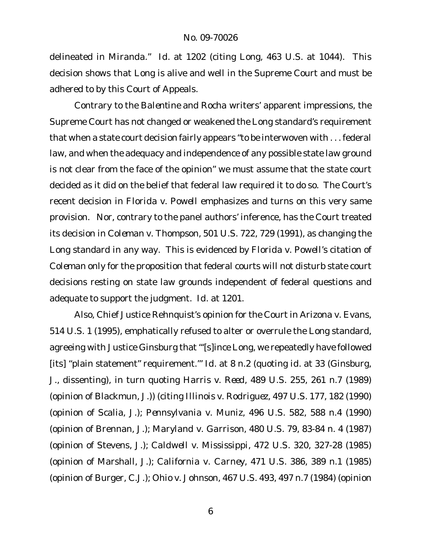delineated in *Miranda*." *Id.* at 1202 (citing *Long*, 463 U.S. at 1044). This decision shows that *Long* is alive and well in the Supreme Court and must be adhered to by this Court of Appeals.

Contrary to the *Balentine* and *Rocha* writers' apparent impressions, the Supreme Court has not changed or weakened the *Long* standard's requirement that when a state court decision fairly appears "to be interwoven with . . . federal law, and when the adequacy and independence of any possible state law ground is not clear from the face of the opinion" we must assume that the state court decided as it did on the belief that federal law required it to do so. The Court's recent decision in *Florida v. Powell* emphasizes and turns on this very same provision. Nor, contrary to the panel authors' inference, has the Court treated its decision in *Coleman v. Thompson*, 501 U.S. 722, 729 (1991), as changing the *Long* standard in any way. This is evidenced by *Florida v. Powell*'s citation of *Coleman* only for the proposition that federal courts will not disturb state court decisions resting on state law grounds independent of federal questions and adequate to support the judgment. *Id.* at 1201.

Also, Chief Justice Rehnquist's opinion for the Court in *Arizona v. Evans*, 514 U.S. 1 (1995), emphatically refused to alter or overrule the *Long* standard, agreeing with Justice Ginsburg that "'[s]ince *Long*, we repeatedly have followed [its] "plain statement" requirement.'" *Id.* at 8 n.2 (quoting *id.* at 33 (Ginsburg, J., dissenting), in turn quoting *Harris v. Reed*, 489 U.S. 255, 261 n.7 (1989) (opinion of Blackmun, J.)) (citing *Illinois v. Rodriguez*, 497 U.S. 177, 182 (1990) (opinion of Scalia, J.); *Pennsylvania v. Muniz*, 496 U.S. 582, 588 n.4 (1990) (opinion of Brennan, J.); *Maryland v. Garrison*, 480 U.S. 79, 83-84 n. 4 (1987) (opinion of Stevens, J.); *Caldwell v. Mississippi*, 472 U.S. 320, 327-28 (1985) (opinion of Marshall, J.); *California v. Carney*, 471 U.S. 386, 389 n.1 (1985) (opinion of Burger, C.J.); *Ohio v. Johnson*, 467 U.S. 493, 497 n.7 (1984) (opinion

6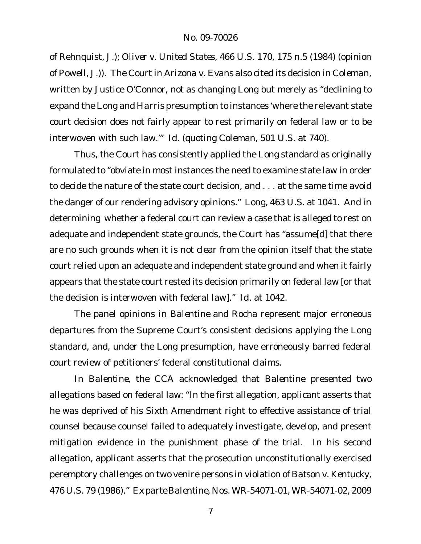of Rehnquist, J.); *Oliver v. United States*, 466 U.S. 170, 175 n.5 (1984) (opinion of Powell, J.)). The Court in *Arizona v. Evans* also cited its decision in *Coleman*, written by Justice O'Connor, not as changing *Long* but merely as "declining to expand the *Long* and *Harris* presumption to instances 'where the relevant state court decision does not fairly appear to rest primarily on federal law or to be interwoven with such law.'" *Id.* (quoting *Coleman*, 501 U.S. at 740).

Thus, the Court has consistently applied the *Long* standard as originally formulated to "obviate in most instances the need to examine state law in order to decide the nature of the state court decision, and . . . at the same time avoid the danger of our rendering advisory opinions." *Long*, 463 U.S. at 1041. And in determining whether a federal court can review a case that is alleged to rest on adequate and independent state grounds, the Court has "assume[d] that there are no such grounds when it is not clear from the opinion itself that the state court relied upon an adequate and independent state ground and when it fairly appears that the state court rested its decision primarily on federal law [or that the decision is interwoven with federal law]." *Id.* at 1042.

The panel opinions in *Balentine* and *Rocha* represent major erroneous departures from the Supreme Court's consistent decisions applying the *Long* standard, and, under the *Long* presumption, have erroneously barred federal court review of petitioners' federal constitutional claims.

In *Balentine*, the CCA acknowledged that Balentine presented two allegations based on federal law: "In the first allegation, applicant asserts that he was deprived of his Sixth Amendment right to effective assistance of trial counsel because counsel failed to adequately investigate, develop, and present mitigation evidence in the punishment phase of the trial. In his second allegation, applicant asserts that the prosecution unconstitutionally exercised peremptory challenges on two venire persons in violation of *Batson v. Kentucky*, 476 U.S. 79 (1986)." *Ex parte Balentine*, Nos. WR-54071-01, WR-54071-02, 2009

7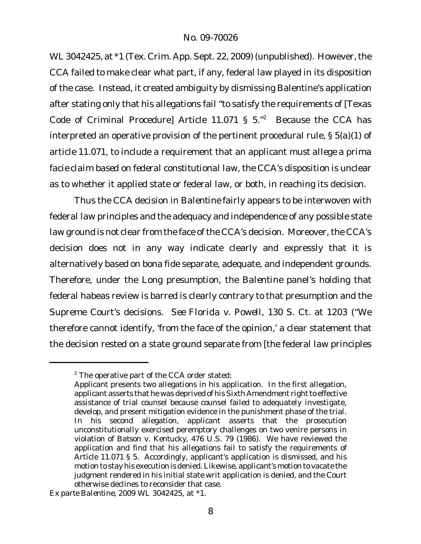WL3042425, at \*1 (Tex. Crim. App. Sept. 22, 2009) (unpublished). However, the CCA failed to make clear what part, if any, federal law played in its disposition of the case. Instead, it created ambiguity by dismissing Balentine's application after stating only that his allegations fail "to satisfy the requirements of [Texas Code of Criminal Procedure] Article 11.071 §  $5.^{n^2}$  Because the CCA has interpreted an operative provision of the pertinent procedural rule, § 5(a)(1) of article 11.071, to include a requirement that an applicant *must allege a prima facie claim based on federal constitutional law*, the CCA's disposition is unclear as to whether it applied state or federal law, or both, in reaching its decision.

Thus the CCA decision in *Balentine* fairly appears to be interwoven with federal law principles and the adequacy and independence of any possible state law ground is not clear from the face of the CCA's decision. Moreover, the CCA's decision does not in any way indicate clearly and expressly that it is alternatively based on bona fide separate, adequate, and independent grounds. Therefore, under the *Long* presumption, the *Balentine* panel's holding that federal habeas review is barred is clearly contrary to that presumption and the Supreme Court's decisions. *See Florida v. Powell*, 130 S. Ct. at 1203 ("We therefore cannot identify, 'from the face of the opinion,' a clear statement that the decision rested on a state ground separate from [the federal law principles

 $2$  The operative part of the CCA order stated:

Applicant presents two allegations in his application. In the first allegation, applicant asserts that he was deprived of his Sixth Amendment right to effective assistance of trial counsel because counsel failed to adequately investigate, develop, and present mitigation evidence in the punishment phase of the trial. In his second allegation, applicant asserts that the prosecution unconstitutionally exercised peremptory challenges on two venire persons in violation of *Batson v. Kentucky*, 476 U.S. 79 (1986). We have reviewed the application and find that his allegations fail to satisfy the requirements of Article 11.071 § 5. Accordingly, applicant's application is dismissed, and his motion to stay his execution is denied. Likewise, applicant's motion to vacate the judgment rendered in his initial state writ application is denied, and the Court otherwise declines to reconsider that case.

*Ex parte Balentine*, 2009 WL 3042425, at \*1.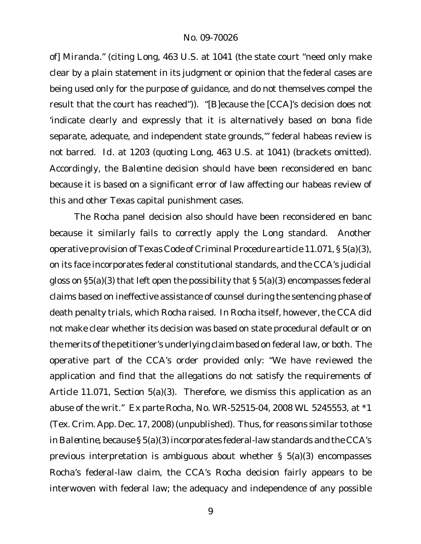of] *Miranda*." (citing *Long*, 463 U.S. at 1041 (the state court "need only make clear by a plain statement in its judgment or opinion that the federal cases are being used only for the purpose of guidance, and do not themselves compel the result that the court has reached")). "[B]ecause the [CCA]'s decision does not 'indicate clearly and expressly that it is alternatively based on bona fide separate, adequate, and independent state grounds,'" federal habeas review is not barred. *Id.* at 1203 (quoting *Long*, 463 U.S. at 1041) (brackets omitted). Accordingly, the *Balentine* decision should have been reconsidered en banc because it is based on a significant error of law affecting our habeas review of this and other Texas capital punishment cases.

The *Rocha* panel decision also should have been reconsidered en banc because it similarly fails to correctly apply the *Long* standard. Another operative provision of Texas Code of CriminalProcedure article 11.071, § 5(a)(3), on its face incorporates federal constitutional standards, and the CCA's judicial gloss on §5(a)(3) that left open the possibility that § 5(a)(3) encompasses federal claims based on ineffective assistance of counsel during the sentencing phase of death penalty trials, which Rocha raised. In *Rocha* itself, however, the CCA did not make clear whether its decision was based on state procedural default or on the merits of the petitioner's underlying claim based on federal law, or both. The operative part of the CCA's order provided only: "We have reviewed the application and find that the allegations do not satisfy the requirements of Article 11.071, Section 5(a)(3). Therefore, we dismiss this application as an abuse of the writ." *Ex parte Rocha*, No. WR-52515-04, 2008 WL 5245553, at \*1 (Tex. Crim. App. Dec. 17, 2008) (unpublished). Thus, for reasons similar to those in *Balentine*, because § 5(a)(3) incorporates federal-law standards and the CCA's previous interpretation is ambiguous about whether § 5(a)(3) encompasses Rocha's federal-law claim, the CCA's *Rocha* decision fairly appears to be interwoven with federal law; the adequacy and independence of any possible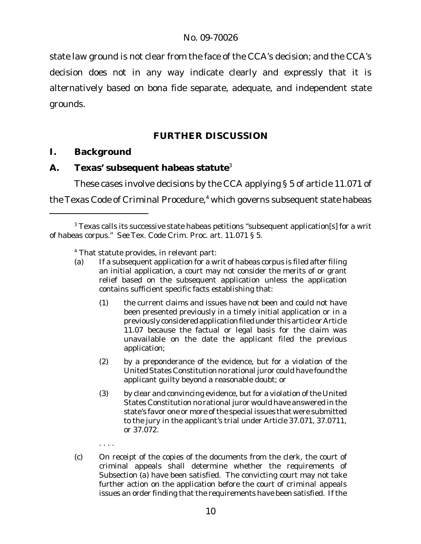state law ground is not clear from the face of the CCA's decision; and the CCA's decision does not in any way indicate clearly and expressly that it is alternatively based on bona fide separate, adequate, and independent state grounds.

# **FURTHER DISCUSSION**

**I. Background**

. . . .

**A. Texas' subsequent habeas statute**<sup>3</sup>

These cases involve decisions by the CCA applying § 5 of article 11.071 of the Texas Code of Criminal Procedure,<sup>4</sup> which governs subsequent state habeas

- (1) the current claims and issues have not been and could not have been presented previously in a timely initial application or in a previously consideredapplication filed under this article or Article 11.07 because the factual or legal basis for the claim was unavailable on the date the applicant filed the previous application;
- (2) by a preponderance of the evidence, but for a violation of the United States Constitution no rational juror could have found the applicant guilty beyond a reasonable doubt; or
- (3) by clear and convincing evidence, but for a violation of the United States Constitution no rational juror would have answered in the state's favor one or more of the special issues that were submitted to the jury in the applicant's trial under Article 37.071, 37.0711, or 37.072.
- (c) On receipt of the copies of the documents from the clerk, the court of criminal appeals shall determine whether the requirements of Subsection (a) have been satisfied. The convicting court may not take further action on the application before the court of criminal appeals issues an order finding that the requirements have been satisfied. If the

<sup>&</sup>lt;sup>3</sup> Texas calls its successive state habeas petitions "subsequent application[s] for a writ of habeas corpus." *See* Tex. Code Crim. Proc. art. 11.071 § 5.

<sup>&</sup>lt;sup>4</sup> That statute provides, in relevant part:

<sup>(</sup>a) If a subsequent application for a writ of habeas corpus is filed after filing an initial application, a court may not consider the merits of or grant relief based on the subsequent application unless the application contains sufficient specific facts establishing that: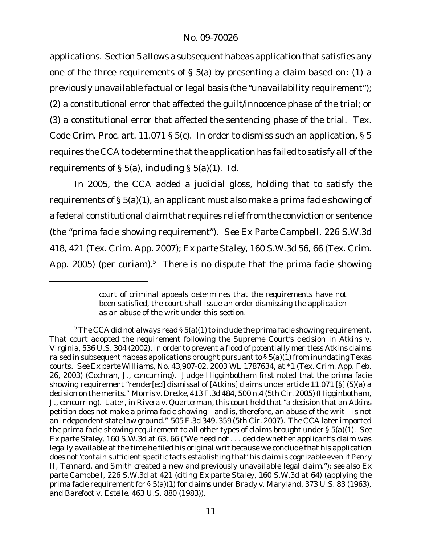applications. Section 5 allows a subsequent habeas application that satisfies any one of the three requirements of § 5(a) by presenting a claim based on: (1) a previously unavailable factual or legal basis (the "unavailability requirement"); (2) a constitutional error that affected the guilt/innocence phase of the trial; or (3) a constitutional error that affected the sentencing phase of the trial. Tex. Code Crim. Proc. art. 11.071 § 5(c). In order to dismiss such an application, § 5 requires the CCA to determine that the application has failed to satisfy *all* ofthe requirements of § 5(a), including § 5(a)(1). *Id.*

In 2005, the CCA added a judicial gloss, holding that to satisfy the requirements of § 5(a)(1), an applicant must also make a prima facie showing of a federal constitutional claim that requires relief from the conviction or sentence (the "prima facie showing requirement"). *See Ex Parte Campbell*, 226 S.W.3d 418, 421 (Tex. Crim. App. 2007); *Ex parte Staley*, 160 S.W.3d 56, 66 (Tex. Crim. App. 2005) (per curiam).<sup>5</sup> There is no dispute that the prima facie showing

court of criminal appeals determines that the requirements have not been satisfied, the court shall issue an order dismissing the application as an abuse of the writ under this section.

 $5$  The CCA did not always read § 5(a)(1) to include the prima facie showing requirement. That court adopted the requirement following the Supreme Court's decision in *Atkins v. Virginia*, 536 U.S. 304 (2002), in order to prevent a flood of potentially meritless *Atkins* claims raised in subsequent habeas applications brought pursuant to § 5(a)(1) from inundating Texas courts. *See Ex parte Williams*, No. 43,907-02, 2003 WL 1787634, at \*1 (Tex. Crim. App. Feb. 26, 2003) (Cochran, J., concurring). Judge Higginbotham first noted that the prima facie showing requirement "render[ed] dismissal of [*Atkins*] claims under article 11.071 [§] (5)(a) a decision on the merits." *Morris v. Dretke*, 413 F.3d 484, 500 n.4 (5th Cir. 2005) (Higginbotham, J., concurring). Later, in *Rivera v. Quarterman*, this court held that "a decision that an *Atkins* petition does not make a prima facie showing—and is, therefore, an abuse of the writ—is not an independent state law ground." 505 F.3d 349, 359 (5th Cir. 2007). The CCA later imported the prima facie showing requirement to all other types of claims brought under § 5(a)(1). *See Ex parte Staley*, 160 S.W.3d at 63, 66 ("We need not . . . decide whether applicant's claim was legally available at the time he filed his original writ because we conclude that his application does not 'contain sufficient specific facts establishing that' his claim is cognizable even if *Penry II*, *Tennard*, and *Smith* created a new and previously unavailable legal claim."); *see also Ex parte Campbell*, 226 S.W.3d at 421 (citing *Ex parte Staley*, 160 S.W.3d at 64) (applying the prima facie requirement for § 5(a)(1) for claims under *Brady v. Maryland*, 373 U.S. 83 (1963), and *Barefoot v. Estelle*, 463 U.S. 880 (1983)).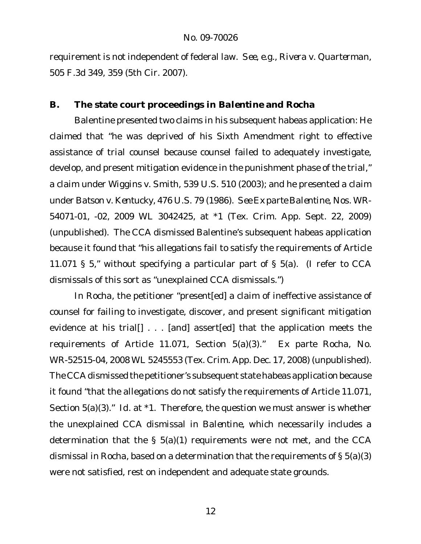requirement is not independent of federal law. *See, e.g.*, *Rivera v. Quarterman*, 505 F.3d 349, 359 (5th Cir. 2007).

# **B. The state court proceedings in** *Balentine* **and** *Rocha*

Balentine presented two claims in his subsequent habeas application: He claimed that "he was deprived of his Sixth Amendment right to effective assistance of trial counsel because counsel failed to adequately investigate, develop, and present mitigation evidence in the punishment phase of the trial," a claim under *Wiggins v. Smith*, 539 U.S. 510 (2003); and he presented a claim under *Batson v. Kentucky*, 476 U.S. 79 (1986). *See Ex parte Balentine*, Nos. WR-54071-01, -02, 2009 WL 3042425, at \*1 (Tex. Crim. App. Sept. 22, 2009) (unpublished). The CCA dismissed Balentine's subsequent habeas application because it found that "his allegations fail to satisfy the requirements of Article 11.071 § 5," without specifying a particular part of § 5(a). (I refer to CCA dismissals of this sort as "unexplained CCA dismissals.")

In *Rocha*, the petitioner "present[ed] a claim of ineffective assistance of counsel for failing to investigate, discover, and present significant mitigation evidence at his trial[] . . . [and] assert[ed] that the application meets the requirements of Article 11.071, Section 5(a)(3)." *Ex parte Rocha*, No. WR-52515-04, 2008 WL 5245553 (Tex. Crim. App. Dec. 17, 2008) (unpublished). The CCA dismissed the petitioner's subsequent state habeas application because it found "that the allegations do not satisfy the requirements of Article 11.071, Section 5(a)(3)." *Id.* at \*1. Therefore, the question we must answer is whether the unexplained CCA dismissal in *Balentine*, which necessarily includes a determination that the § 5(a)(1) requirements were not met, and the CCA dismissal in *Rocha*, based on a determination that the requirements of § 5(a)(3) were not satisfied, rest on independent and adequate state grounds.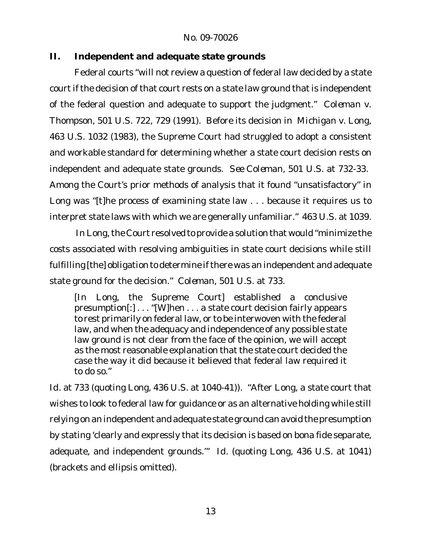**II. Independent and adequate state grounds**

Federal courts "will not review a question of federal law decided by a state court if the decision of that court rests on a state law ground that is independent of the federal question and adequate to support the judgment." *Coleman v. Thompson*, 501 U.S. 722, 729 (1991). Before its decision in *Michigan v. Long*, 463 U.S. 1032 (1983), the Supreme Court had struggled to adopt a consistent and workable standard for determining whether a state court decision rests on independent and adequate state grounds. *See Coleman*, 501 U.S. at 732-33. Among the Court's prior methods of analysis that it found "unsatisfactory" in *Long* was "[t]he process of examining state law . . . because it requires us to interpret state laws with which we are generally unfamiliar." 463 U.S. at 1039.

In Long, the Court resolved to provide a solution that would "minimize the costs associated with resolving ambiguities in state court decisions while still fulfilling [the] obligation to determine if there was an independent and adequate state ground for the decision." *Coleman*, 501 U.S. at 733.

[In *Long*, the Supreme Court] established a conclusive presumption[:] . . . "[W]hen . . . a state court decision fairly appears to rest primarily on federal law, or to be interwoven with the federal law, and when the adequacy and independence of any possible state law ground is not clear from the face of the opinion, we will accept as the most reasonable explanation that the state court decided the case the way it did because it believed that federal law required it to do so."

*Id.* at 733 (quoting *Long*, 436 U.S. at 1040-41)). "After *Long*, a state court that wishes to look to federal law for guidance or as an alternative holding while still relying on an independent and adequate state ground can avoid the presumption by stating 'clearly and expressly that its decision is based on bona fide separate, adequate, and independent grounds.'" *Id.* (quoting *Long*, 436 U.S. at 1041) (brackets and ellipsis omitted).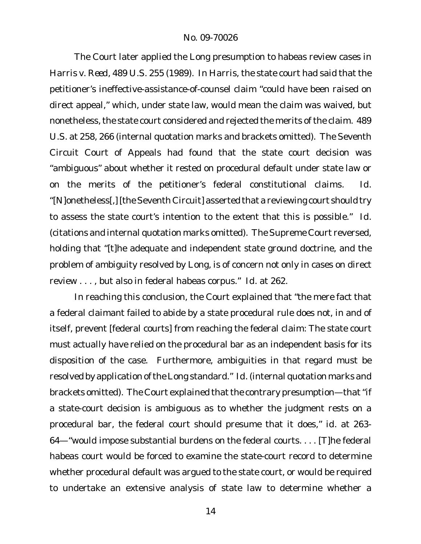The Court later applied the *Long* presumption to habeas review cases in *Harris v. Reed*, 489 U.S. 255 (1989). In *Harris*, the state court had said that the petitioner's ineffective-assistance-of-counsel claim "could have been raised on direct appeal," which, under state law, would mean the claim was waived, but nonetheless, the state court considered and rejected the merits of the claim. 489 U.S. at 258, 266 (internal quotation marks and brackets omitted). The Seventh Circuit Court of Appeals had found that the state court decision was "ambiguous" about whether it rested on procedural default under state law or on the merits of the petitioner's federal constitutional claims. *Id.* "[N]onetheless[,] [the Seventh Circuit] asserted that a reviewing court should try to assess the state court's intention to the extent that this is possible." *Id.* (citations and internal quotation marks omitted). The Supreme Court reversed, holding that "[t]he adequate and independent state ground doctrine, and the problem of ambiguity resolved by *Long*, is of concern not only in cases on direct review . . . , but also in federal habeas corpus." *Id.* at 262.

In reaching this conclusion, the Court explained that "the mere fact that a federal claimant failed to abide by a state procedural rule does not, in and of itself, prevent [federal courts] from reaching the federal claim: The state court must actually have relied on the procedural bar as an independent basis for its disposition of the case. Furthermore, ambiguities in that regard must be resolved by application of the Long standard." Id. (internal quotation marks and brackets omitted). The Court explained that the contrary presumption—that "if a state-court decision is ambiguous as to whether the judgment rests on a procedural bar, the federal court should presume that it does," *id.* at 263- 64—"would impose substantial burdens on the federal courts. . . . [T]he federal habeas court would be forced to examine the state-court record to determine whether procedural default was argued to the state court, or would be required to undertake an extensive analysis of state law to determine whether a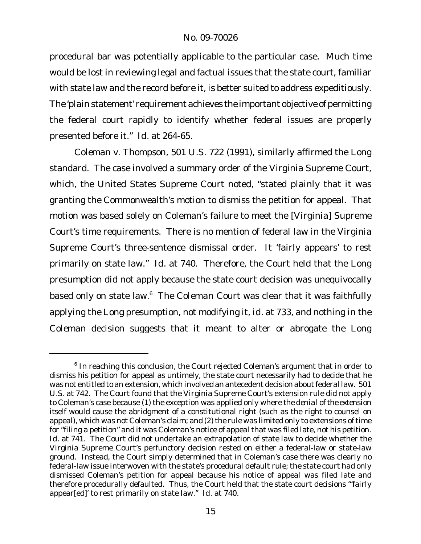procedural bar was potentially applicable to the particular case. Much time would be lost in reviewing legal and factual issues that the state court, familiar with state law and the record before it, is better suited to address expeditiously. The 'plain statement' requirement achieves the important objective of permitting the federal court rapidly to identify whether federal issues are properly presented before it." *Id.* at 264-65.

*Coleman v. Thompson*, 501 U.S. 722 (1991), similarly affirmed the *Long* standard. The case involved a summary order of the Virginia Supreme Court, which, the United States Supreme Court noted, "stated plainly that it was granting the Commonwealth's motion to dismiss the petition for appeal. That motion was based solely on Coleman's failure to meet the [Virginia] Supreme Court's time requirements. There is no mention of federal law in the Virginia Supreme Court's three-sentence dismissal order. It 'fairly appears' to rest primarily on state law." *Id.* at 740. Therefore, the Court held that the *Long* presumption did not apply because the state court decision was unequivocally based only on state law.<sup>6</sup> The *Coleman* Court was clear that it was faithfully applying the *Long* presumption, not modifying it, *id.* at 733, and nothing in the *Coleman* decision suggests that it meant to alter or abrogate the *Long*

<sup>&</sup>lt;sup>6</sup> In reaching this conclusion, the Court rejected Coleman's argument that in order to dismiss his petition for appeal as untimely, the state court necessarily had to decide that he was not entitled to an extension, which involved an antecedent decision about federal law. 501 U.S. at 742. The Court found that the Virginia Supreme Court's extension rule did not apply to Coleman's case because (1) the exception was applied only where *the denial of the extension itself* would cause the abridgment of a constitutional right (such as the right to counsel on appeal), which was not Coleman's claim; and (2) the rule was limited only to extensions of time for "filing a petition" and it was Coleman's notice of appeal that was filed late, not his petition. *Id.* at 741. The Court did not undertake an extrapolation of state law to decide whether the Virginia Supreme Court's perfunctory decision rested on either a federal-law or state-law ground. Instead, the Court simply determined that in Coleman's case there was clearly no federal-law issue interwoven with the state's procedural default rule; the state court had only dismissed Coleman's petition for appeal because his notice of appeal was filed late and therefore procedurally defaulted. Thus, the Court held that the state court decisions "'fairly appear[ed]' to rest primarily on state law." *Id.* at 740.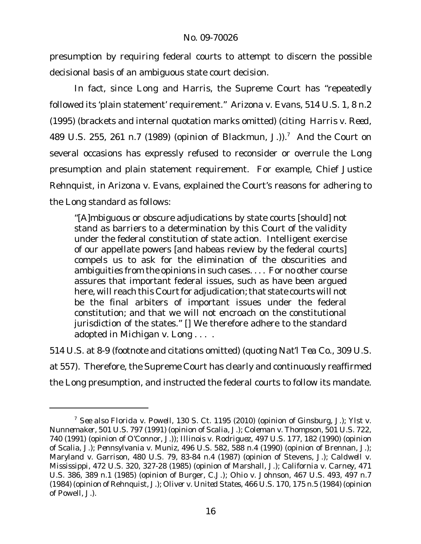presumption by requiring federal courts to attempt to discern the possible decisional basis of an ambiguous state court decision.

In fact, since *Long* and *Harris*, the Supreme Court has "repeatedly followed its 'plain statement' requirement." *Arizona v. Evans*, 514 U.S. 1, 8 n.2 (1995) (brackets and internal quotation marks omitted) (citing *Harris v. Reed*, 489 U.S. 255, 261 n.7 (1989) (opinion of Blackmun, J.)).<sup>7</sup> And the Court on several occasions has expressly refused to reconsider or overrule the *Long* presumption and plain statement requirement. For example, Chief Justice Rehnquist, in *Arizona v. Evans*, explained the Court's reasons for adhering to the *Long* standard as follows:

"[A]mbiguous or obscure adjudications by state courts [should] not stand as barriers to a determination by this Court of the validity under the federal constitution of state action. Intelligent exercise of our appellate powers [and habeas review by the federal courts] compels us to ask for the elimination of the obscurities and ambiguities from the opinions in such cases. . . . For no other course assures that important federal issues, such as have been argued here, will reach this Court for adjudication; that state courts will not be the final arbiters of important issues under the federal constitution; and that we will not encroach on the constitutional jurisdiction of the states." [] We therefore adhere to the standard adopted in *Michigan v. Long* . . . .

514 U.S. at 8-9 (footnote and citations omitted) (quoting *Nat'l Tea Co.*, 309 U.S. at 557). Therefore, the Supreme Court has clearly and continuously reaffirmed the *Long* presumption, and instructed the federal courts to follow its mandate.

<sup>7</sup> *See also Florida v. Powell*, 130 S. Ct. 1195 (2010) (opinion of Ginsburg, J.)*; Ylst v. Nunnemaker*, 501 U.S. 797 (1991) (opinion of Scalia, J.); *Coleman v. Thompson*, 501 U.S. 722, 740 (1991) (opinion of O'Connor, J.)); *Illinois v. Rodriguez*, 497 U.S. 177, 182 (1990) (opinion of Scalia, J.); *Pennsylvania v. Muniz*, 496 U.S. 582, 588 n.4 (1990) (opinion of Brennan, J.); *Maryland v. Garrison*, 480 U.S. 79, 83-84 n.4 (1987) (opinion of Stevens, J.); *Caldwell v. Mississippi*, 472 U.S. 320, 327-28 (1985) (opinion of Marshall, J.); *California v. Carney*, 471 U.S. 386, 389 n.1 (1985) (opinion of Burger, C.J.); *Ohio v. Johnson*, 467 U.S. 493, 497 n.7 (1984) (opinion of Rehnquist, J.); *Oliver v. United States*, 466 U.S. 170, 175 n.5 (1984) (opinion of Powell, J.).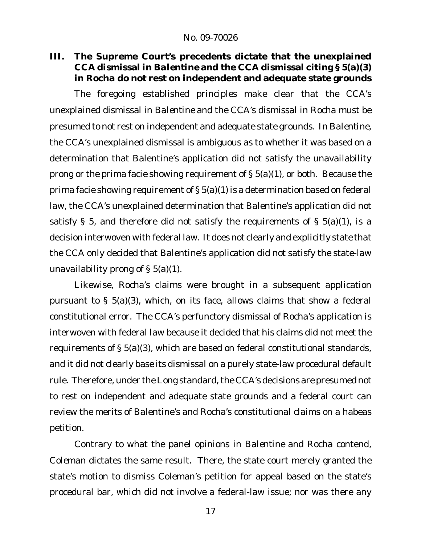**III. The Supreme Court's precedents dictate that the unexplained CCA dismissal in** *Balentine* **and the CCA dismissal citing § 5(a)(3) in** *Rocha* **do not rest on independent and adequate state grounds**

The foregoing established principles make clear that the CCA's unexplained dismissal in *Balentine* and the CCA's dismissal in *Rocha* must be presumed to not rest on independent and adequate state grounds. In *Balentine*, the CCA's unexplained dismissal is ambiguous as to whether it was based on a determination that Balentine's application did not satisfy the unavailability prong or the prima facie showing requirement of § 5(a)(1), or both. Because the prima facie showing requirement of § 5(a)(1) is a determination based on federal law, the CCA's unexplained determination that Balentine's application did not satisfy § 5, and therefore did not satisfy the requirements of §  $5(a)(1)$ , is a decision interwoven with federal law. It does not clearly and explicitly state that the CCA only decided that Balentine's application did not satisfy the state-law unavailability prong of  $\S$  5(a)(1).

Likewise, Rocha's claims were brought in a subsequent application pursuant to § 5(a)(3), which, on its face, allows claims that show a federal constitutional error. The CCA's perfunctory dismissal of Rocha's application is interwoven with federal law because it decided that his claims did not meet the requirements of § 5(a)(3), which are based on federal constitutional standards, and it did not clearly base its dismissal on a purely state-law procedural default rule. Therefore, under the Long standard, the CCA's decisions are presumed not to rest on independent and adequate state grounds and a federal court can review the merits of Balentine's and Rocha's constitutional claims on a habeas petition.

Contrary to what the panel opinions in *Balentine* and *Rocha* contend, *Coleman* dictates the same result. There, the state court merely granted the state's motion to dismiss Coleman's petition for appeal based on the state's procedural bar, which did not involve a federal-law issue; nor was there any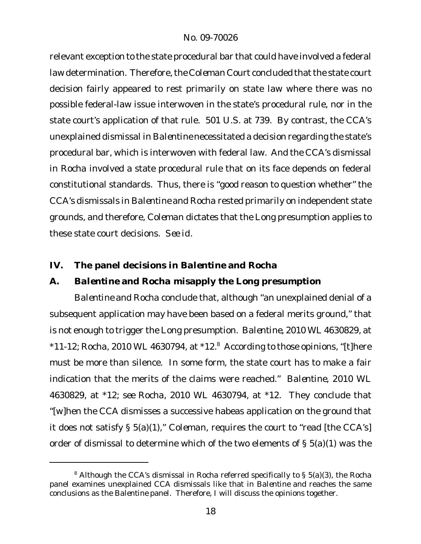relevant exception to the state procedural bar that could have involved a federal law determination. Therefore, the *Coleman* Court concluded thatthe state court decision fairly appeared to rest primarily on state law where there was no possible federal-law issue interwoven in the state's procedural rule, nor in the state court's application of that rule. 501 U.S. at 739. By contrast, the CCA's unexplained dismissal in *Balentine* necessitated a decision regarding the state's procedural bar, which is interwoven with federal law. And the CCA's dismissal in *Rocha* involved a state procedural rule that on its face depends on federal constitutional standards. Thus, there is "good reason to question whether" the CCA's dismissals in *Balentine* and *Rocha* rested primarily on independent state grounds, and therefore, *Coleman* dictates that the *Long* presumption applies to these state court decisions. *See id.*

- **IV. The panel decisions in** *Balentine* **and** *Rocha*
- **A.** *Balentine* **and** *Rocha* **misapply the** *Long* **presumption**

*Balentine* and *Rocha* conclude that, although "an unexplained denial of a subsequent application *may* have been based on a federal merits ground," that is not enough to trigger the *Long* presumption. *Balentine*, 2010 WL 4630829, at \*11-12; *Rocha*, 2010 WL 4630794, at \*12.<sup>8</sup> According to those opinions, "[t]here must be more than silence. In some form, the state court has to make a fair indication that the merits of the claims were reached." *Balentine*, 2010 WL 4630829, at \*12; *see Rocha*, 2010 WL 4630794, at \*12. They conclude that "[w]hen the CCA dismisses a successive habeas application on the ground that it does not satisfy § 5(a)(1)," *Coleman*, requires the court to "read [the CCA's] order of dismissal to determine which of the two elements of § 5(a)(1) was the

<sup>8</sup> Although the CCA's dismissal in *Rocha* referred specifically to § 5(a)(3), the *Rocha* panel examines unexplained CCA dismissals like that in *Balentine* and reaches the same conclusions as the *Balentine* panel. Therefore, I will discuss the opinions together.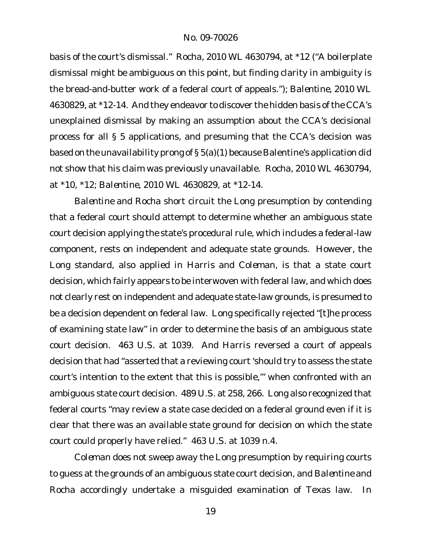basis of the court's dismissal." *Rocha*, 2010 WL 4630794, at \*12 ("A boilerplate dismissal might be ambiguous on this point, but finding clarity in ambiguity is the bread-and-butter work of a federal court of appeals."); *Balentine*, 2010 WL 4630829, at \*12-14. And they endeavor to discover the hidden basis of the CCA's unexplained dismissal by making an assumption about the CCA's decisional process for all § 5 applications, and presuming that the CCA's decision was based on the unavailability prong of § 5(a)(1) because Balentine's application did not show that his claim was previously unavailable. *Rocha*, 2010 WL 4630794, at \*10, \*12; *Balentine*, 2010 WL 4630829, at \*12-14.

*Balentine* and *Rocha* short circuit the *Long* presumption by contending that a federal court should attempt to determine whether an ambiguous state court decision applying the state's procedural rule, which includes a federal-law component, rests on independent and adequate state grounds. However, the *Long* standard, also applied in *Harris* and *Coleman*, is that a state court decision, which fairly appears to be interwoven with federal law, and which does not clearly rest on independent and adequate state-law grounds, is presumed to be a decision dependent on federal law. *Long* specifically rejected "[t]he process of examining state law" in order to determine the basis of an ambiguous state court decision. 463 U.S. at 1039. And *Harris* reversed a court of appeals decision that had "asserted that a reviewing court 'should try to assess the state court's intention to the extent that this is possible,'" when confronted with an ambiguous state court decision. 489 U.S. at 258, 266. *Long* also recognized that federal courts "may review a state case decided on a federal ground even if it is clear that there was an available state ground for decision on which the state court could properly have relied." 463 U.S. at 1039 n.4.

*Coleman* does not sweep away the *Long* presumption by requiring courts to guess at the grounds of an ambiguous state court decision, and *Balentine* and *Rocha* accordingly undertake a misguided examination of Texas law. In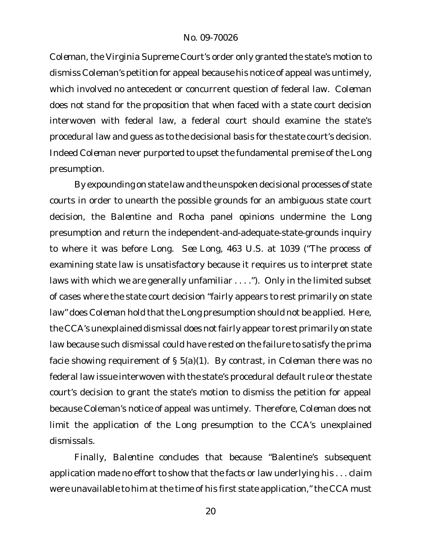*Coleman*, the Virginia Supreme Court's order only granted the state's motion to dismiss Coleman's petition for appeal because his notice of appeal was untimely, which involved no antecedent or concurrent question of federal law. *Coleman* does not stand for the proposition that when faced with a state court decision interwoven with federal law, a federal court should examine the state's procedural law and guess as to the decisional basis for the state court's decision. Indeed *Coleman* never purported to upset the fundamental premise of the *Long* presumption.

By expounding on state law and the unspoken decisional processes of state courts in order to unearth the possible grounds for an ambiguous state court decision, the *Balentine* and *Rocha* panel opinions undermine the *Long* presumption and return the independent-and-adequate-state-grounds inquiry to where it was before *Long*. *See Long*, 463 U.S. at 1039 ("The process of examining state law is unsatisfactory because it requires us to interpret state laws with which we are generally unfamiliar . . . ."). Only in the limited subset of cases where the state court decision "fairly appears to rest primarily on state law" does Coleman hold that the Long presumption should not be applied. Here, the CCA's unexplained dismissal does not fairly appear to rest primarily on state law because such dismissal could have rested on the failure to satisfy the prima facie showing requirement of § 5(a)(1). By contrast, in *Coleman* there was no federal law issue interwoven with the state's procedural default rule or the state court's decision to grant the state's motion to dismiss the petition for appeal because Coleman's notice of appeal was untimely. Therefore, *Coleman* does not limit the application of the *Long* presumption to the CCA's unexplained dismissals.

Finally, *Balentine* concludes that because "Balentine's subsequent application made no effort to show that the facts or law underlying his . . . claim were unavailable to him at the time of his first state application," the CCA must

20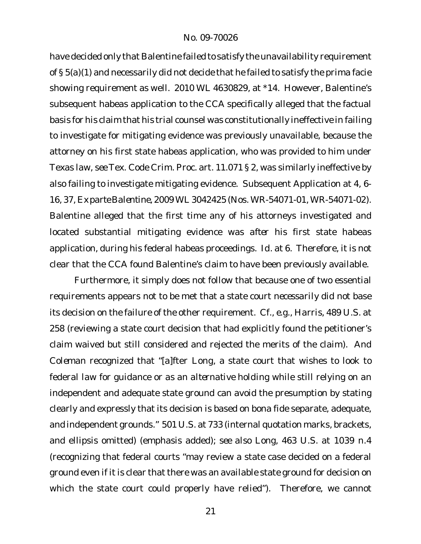have decided only that Balentine failed to satisfy the unavailability requirement of § 5(a)(1) and necessarily did not decide that he failed to satisfy the prima facie showing requirement as well. 2010 WL 4630829, at \*14. However, Balentine's subsequent habeas application to the CCA specifically alleged that the factual basis for his claim that his trial counsel was constitutionally ineffective in failing to investigate for mitigating evidence was previously unavailable, because the attorney on his first state habeas application, who was provided to him under Texas law, *see* Tex. Code Crim. Proc. art. 11.071 § 2, was similarly ineffective by also failing to investigate mitigating evidence. Subsequent Application at 4, 6- 16, 37, *Ex parte Balentine*, 2009 WL 3042425 (Nos. WR-54071-01, WR-54071-02). Balentine alleged that the first time any of his attorneys investigated and located substantial mitigating evidence was *after* his first state habeas application, during his federal habeas proceedings. *Id.* at 6. Therefore, it is not clear that the CCA found Balentine's claim to have been previously available.

Furthermore, it simply does not follow that because one of two essential requirements appears not to be met that a state court *necessarily* did not base its decision on the failure of the other requirement. *Cf., e.g.*, *Harris*, 489 U.S. at 258 (reviewing a state court decision that had explicitly found the petitioner's claim waived but still considered and rejected the merits of the claim). And *Coleman* recognized that "[a]fter *Long*, a state court that wishes to look to federal law for guidance *or as an alternative holding* while still relying on an independent and adequate state ground can avoid the presumption by stating clearly and expressly that its decision is based on bona fide separate, adequate, and independent grounds." 501 U.S. at 733 (internal quotation marks, brackets, and ellipsis omitted) (emphasis added); *see also Long*, 463 U.S. at 1039 n.4 (recognizing that federal courts "may review a state case decided on a federal ground even if it is clear that there was an available state ground for decision on which the state court could properly have relied"). Therefore, we cannot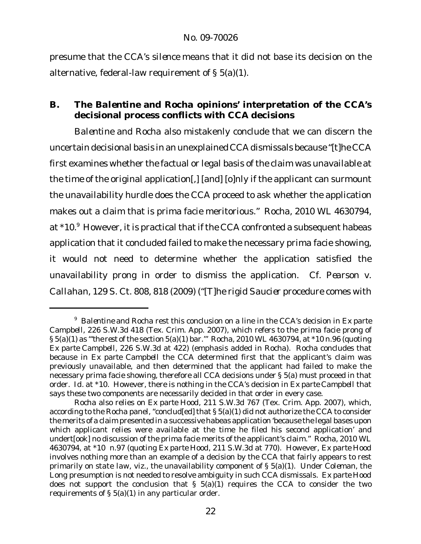presume that the CCA's *silence* means that it did not base its decision on the alternative, federal-law requirement of § 5(a)(1).

# **B. The** *Balentine* **and** *Rocha* **opinions' interpretation of the CCA's decisional process conflicts with CCA decisions**

*Balentine* and *Rocha* also mistakenly conclude that we can discern the uncertain decisional basis in an unexplained CCA dismissals because "[t]he CCA first examines whether the factual or legal basis of the claim was unavailable at the time of the original application[,] [and] [o]nly if the applicant can surmount the unavailability hurdle does the CCA proceed to ask whether the application makes out a claim that is prima facie meritorious." *Rocha*, 2010 WL 4630794, at \*10.9 However, it is practical that if the CCA confronted a subsequent habeas application that it concluded failed to make the necessary prima facie showing, it would not need to determine whether the application satisfied the unavailability prong in order to dismiss the application. *Cf. Pearson v. Callahan*, 129 S. Ct. 808, 818 (2009) ("[T]he rigid *Saucier* procedure comes with

<sup>9</sup> *Balentine* and *Rocha* rest this conclusion on a line in the CCA's decision in *Ex parte Campbell*, 226 S.W.3d 418 (Tex. Crim. App. 2007), which refers to the prima facie prong of § 5(a)(1) as "'*the rest of*the section 5(a)(1) bar.'" *Rocha*, 2010 WL 4630794, at \*10 n.96 (quoting *Ex parte Campbell*, 226 S.W.3d at 422) (emphasis added in *Rocha*). *Rocha* concludes that because in *Ex parte Campbell* the CCA determined first that the applicant's claim was previously unavailable, and then determined that the applicant had failed to make the necessary prima facie showing, therefore all CCA decisions under § 5(a) must proceed in that order. *Id.* at \*10. However, there is nothing in the CCA's decision in *Ex parte Campbell* that says these two components are necessarily decided in that order in every case.

*Rocha* also relies on *Ex parte Hood*, 211 S.W.3d 767 (Tex. Crim. App. 2007), which, according to the *Rocha* panel, "conclud[ed] that § 5(a)(1) did not authorize the CCA to consider the merits of a claim presented in a successive habeas application 'because the legal bases upon which applicant relies were available at the time he filed his second application' and undert[ook] no discussion of the prima facie merits of the applicant's claim." *Rocha*, 2010 WL 4630794, at \*10 n.97 (quoting *Ex parte Hood*, 211 S.W.3d at 770). However, *Ex parte Hood* involves nothing more than an example of a decision by the CCA that fairly appears to rest primarily on state law, *viz.*, the unavailability component of § 5(a)(1). Under *Coleman*, the *Long* presumption is not needed to resolve ambiguity in such CCA dismissals. *Ex parte Hood* does not support the conclusion that  $\S$  5(a)(1) requires the CCA to consider the two requirements of § 5(a)(1) in any particular order.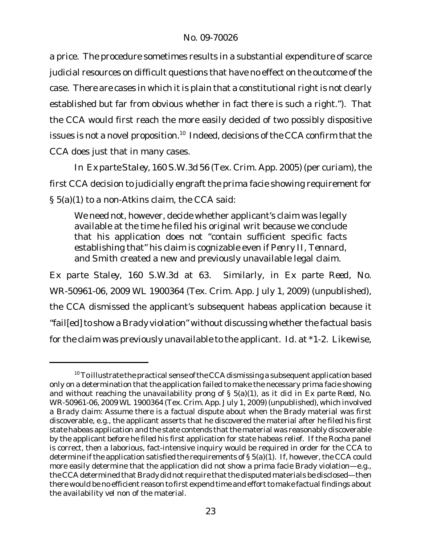a price. The procedure sometimes results in a substantial expenditure of scarce judicial resources on difficult questions that have no effect on the outcome of the case. There are cases in which it is plain that a constitutional right is not clearly established but far from obvious whether in fact there is such a right."). That the CCA would first reach the more easily decided of two possibly dispositive issues is not a novel proposition.<sup>10</sup> Indeed, decisions of the CCA confirm that the CCA does just that in many cases.

In Exparte Staley, 160 S.W.3d 56 (Tex. Crim. App. 2005) (per curiam), the first CCA decision to judicially engraft the prima facie showing requirement for § 5(a)(1) to a non-*Atkins* claim, the CCA said:

We need not, however, decide whether applicant's claim was legally available at the time he filed his original writ because we conclude that his application does not "contain sufficient specific facts establishing that" his claim is cognizable even if *Penry II*, *Tennard*, and *Smith* created a new and previously unavailable legal claim.

*Ex parte Staley*, 160 S.W.3d at 63. Similarly, in *Ex parte Reed*, No. WR-50961-06, 2009 WL 1900364 (Tex. Crim. App. July 1, 2009) (unpublished), the CCA dismissed the applicant's subsequent habeas application because it "fail[ed] to show a Brady violation" without discussing whether the factual basis for the claim was previously unavailable to the applicant. *Id.* at \*1-2. Likewise,

 $10$  To illustrate the practical sense of the CCA dismissing a subsequent application based only on a determination that the application failed to make the necessary prima facie showing and without reaching the unavailability prong of § 5(a)(1), as it did in *Ex parte Reed*, No. WR-50961-06, 2009 WL 1900364 (Tex. Crim. App. July 1, 2009) (unpublished), which involved a *Brady* claim: Assume there is a factual dispute about when the *Brady* material was first discoverable, e.g., the applicant asserts that he discovered the material after he filed his first state habeas application and the state contends that the material was reasonably discoverable by the applicant before he filed his first application for state habeas relief. If the *Rocha* panel is correct, then a laborious, fact-intensive inquiry would be required in order for the CCA to determine if the application satisfied the requirements of § 5(a)(1). If, however, the CCA could more easily determine that the application did not show a prima facie *Brady* violation—e.g., the CCA determined that Brady did not require that the disputed materials be disclosed—then there would be no efficient reason to first expend time and effort to make factual findings about the availability *vel non* of the material.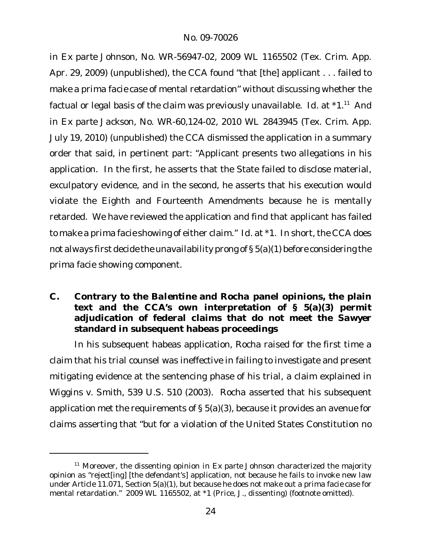in *Ex parte Johnson*, No. WR-56947-02, 2009 WL 1165502 (Tex. Crim. App. Apr. 29, 2009) (unpublished), the CCA found "that [the] applicant . . . failed to make a *prima facie* case of mental retardation" without discussing whether the factual or legal basis of the claim was previously unavailable. *Id.* at \*1.<sup>11</sup> And in *Ex parte Jackson*, No. WR-60,124-02, 2010 WL 2843945 (Tex. Crim. App. July 19, 2010) (unpublished) the CCA dismissed the application in a summary order that said, in pertinent part: "Applicant presents two allegations in his application. In the first, he asserts that the State failed to disclose material, exculpatory evidence, and in the second, he asserts that his execution would violate the Eighth and Fourteenth Amendments because he is mentally retarded. We have reviewed the application and find that applicant has failed to make a *prima facie* showing of either claim." *Id.* at \*1. In short, the CCA does not always first decide the unavailability prong of § 5(a)(1) before considering the prima facie showing component.

**C. Contrary to the** *Balentine* **and** *Rocha* **panel opinions, the plain text and the CCA's own interpretation of § 5(a)(3) permit adjudication of federal claims that do not meet the** *Sawyer* **standard in subsequent habeas proceedings**

In his subsequent habeas application, Rocha raised for the first time a claim that his trial counsel was ineffective in failing to investigate and present mitigating evidence at the sentencing phase of his trial, a claim explained in *Wiggins v. Smith*, 539 U.S. 510 (2003). Rocha asserted that his subsequent application met the requirements of § 5(a)(3), because it provides an avenue for claims asserting that "but for a violation of the United States Constitution no

<sup>11</sup> Moreover, the dissenting opinion in *Ex parte Johnson* characterized the majority opinion as "reject[ing] [the defendant's] application, not because he fails to invoke new law under Article 11.071, Section 5(a)(1), but because he does not make out a *prima facie* case for mental retardation." 2009 WL 1165502, at \*1 (Price, J., dissenting) (footnote omitted).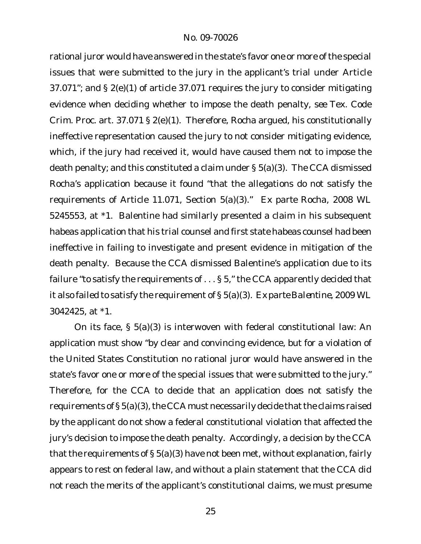rational juror would have answered in the state's favor one or more of the special issues that were submitted to the jury in the applicant's trial under Article 37.071"; and § 2(e)(1) of article 37.071 requires the jury to consider mitigating evidence when deciding whether to impose the death penalty, *see* Tex. Code Crim. Proc. art. 37.071 § 2(e)(1). Therefore, Rocha argued, his constitutionally ineffective representation caused the jury to not consider mitigating evidence, which, if the jury had received it, would have caused them not to impose the death penalty; and this constituted a claim under § 5(a)(3). The CCA dismissed Rocha's application because it found "that the allegations do not satisfy the requirements of Article 11.071, Section 5(a)(3)." *Ex parte Rocha*, 2008 WL 5245553, at \*1. Balentine had similarly presented a claim in his subsequent habeas application that his trial counsel and first state habeas counsel had been ineffective in failing to investigate and present evidence in mitigation of the death penalty. Because the CCA dismissed Balentine's application due to its failure "to satisfy the requirements of . . . § 5," the CCA apparently decided that it also failed to satisfy the requirement of § 5(a)(3). *Ex parte Balentine*, 2009 WL 3042425, at \*1.

On its face, § 5(a)(3) is interwoven with federal constitutional law: An application must show "by clear and convincing evidence, but for a violation of the United States Constitution no rational juror would have answered in the state's favor one or more of the special issues that were submitted to the jury." Therefore, for the CCA to decide that an application does not satisfy the requirements of  $\S 5(a)(3)$ , the CCA must necessarily decide that the claims raised by the applicant do not show a federal constitutional violation that affected the jury's decision to impose the death penalty. Accordingly, a decision by the CCA that the requirements of  $\S 5(a)(3)$  have not been met, without explanation, fairly appears to rest on federal law, and without a plain statement that the CCA did not reach the merits of the applicant's constitutional claims, we must presume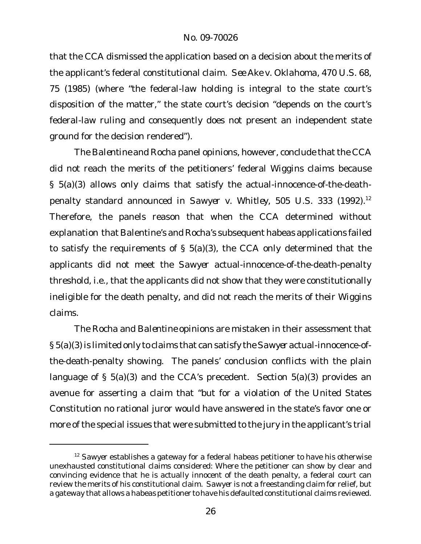that the CCA dismissed the application based on a decision about the merits of the applicant's federal constitutional claim. *See Ake v. Oklahoma*, 470 U.S. 68, 75 (1985) (where "the federal-law holding is integral to the state court's disposition of the matter," the state court's decision "depends on the court's federal-law ruling and consequently does not present an independent state ground for the decision rendered").

The *Balentine* and *Rocha* panel opinions, however, conclude that the CCA did not reach the merits of the petitioners' federal *Wiggins* claims because § 5(a)(3) allows only claims that satisfy the actual-innocence-of-the-deathpenalty standard announced in *Sawyer v. Whitley*, 505 U.S. 333 (1992).<sup>12</sup> Therefore, the panels reason that when the CCA determined without explanation that Balentine's and Rocha's subsequent habeas applications failed to satisfy the requirements of § 5(a)(3), the CCA only determined that the applicants did not meet the *Sawyer* actual-innocence-of-the-death-penalty threshold, i.e., that the applicants did not show that they were constitutionally ineligible for the death penalty, and did not reach the merits of their *Wiggins* claims.

The *Rocha* and *Balentine* opinions are mistaken in their assessment that § 5(a)(3) is limited only to claims that can satisfy the*Sawyer* actual-innocence-ofthe-death-penalty showing. The panels' conclusion conflicts with the plain language of § 5(a)(3) and the CCA's precedent. Section 5(a)(3) provides an avenue for asserting a claim that "but for a violation of the United States Constitution no rational juror would have answered in the state's favor one or more of the special issues that were submitted to the jury in the applicant's trial

<sup>&</sup>lt;sup>12</sup> Sawyer establishes a gateway for a federal habeas petitioner to have his otherwise unexhausted constitutional claims considered: Where the petitioner can show by clear and convincing evidence that he is actually innocent of the death penalty, a federal court can review the merits of his constitutional claim. *Sawyer* is not a freestanding claim for relief, but a gateway that allows a habeas petitioner tohave his defaulted constitutional claims reviewed.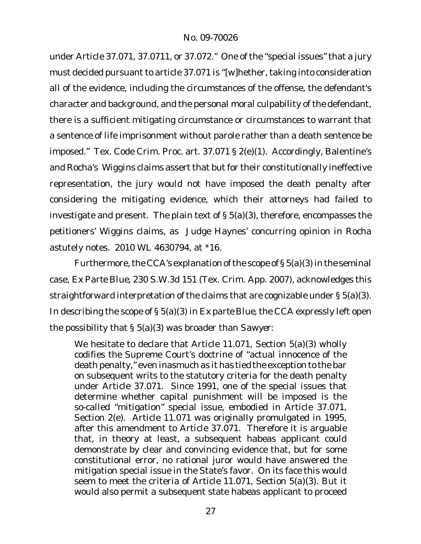under Article 37.071, 37.0711, or 37.072." One of the "special issues" that a jury must decided pursuant to article 37.071 is "[w]hether, taking into consideration all of the evidence, including the circumstances of the offense, the defendant's character and background, and the personal moral culpability of the defendant, there is a sufficient mitigating circumstance or circumstances to warrant that a sentence of life imprisonment without parole rather than a death sentence be imposed." Tex. Code Crim. Proc. art. 37.071 § 2(e)(1). Accordingly, Balentine's and Rocha's *Wiggins* claims assert that but for their constitutionally ineffective representation, the jury would not have imposed the death penalty after considering the mitigating evidence, which their attorneys had failed to investigate and present. The plain text of § 5(a)(3), therefore, encompasses the petitioners' *Wiggins* claims, as Judge Haynes' concurring opinion in *Rocha* astutely notes. 2010 WL 4630794, at \*16.

Furthermore, the CCA's explanation of the scope of  $\S 5(a)(3)$  in the seminal case, *Ex Parte Blue*, 230 S.W.3d 151 (Tex. Crim. App. 2007), acknowledges this straightforward interpretation of the claims that are cognizable under § 5(a)(3). In describing the scope of § 5(a)(3) in *Ex parte Blue*, the CCA expressly left open the possibility that § 5(a)(3) was broader than *Sawyer*:

We hesitate to declare that Article 11.071, Section 5(a)(3) wholly codifies the Supreme Court's doctrine of "actual innocence of the death penalty," even inasmuch as it has tied the exception to the bar on subsequent writs to the statutory criteria for the death penalty under Article 37.071. Since 1991, one of the special issues that determine whether capital punishment will be imposed is the so-called "mitigation" special issue, embodied in Article 37.071, Section 2(e). Article 11.071 was originally promulgated in 1995, after this amendment to Article 37.071. Therefore it is arguable that, in theory at least, a subsequent habeas applicant could demonstrate by clear and convincing evidence that, but for some constitutional error, no rational juror would have answered the mitigation special issue in the State's favor. On its face this would seem to meet the criteria of Article 11.071, Section 5(a)(3). But it would also permit a subsequent state habeas applicant to proceed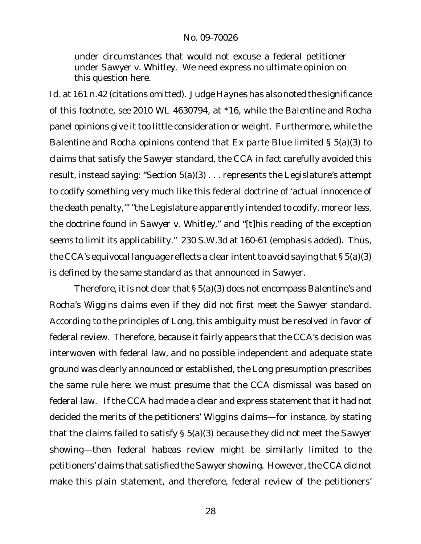under circumstances that would not excuse a federal petitioner under *Sawyer v. Whitley*. We need express no ultimate opinion on this question here.

*Id.* at 161 n.42 (citations omitted). Judge Haynes has also noted the significance of this footnote, *see* 2010 WL 4630794, at \*16, while the *Balentine* and *Rocha* panel opinions give it too little consideration or weight. Furthermore, while the *Balentine* and *Rocha* opinions contend that *Ex parte Blue* limited § 5(a)(3) to claims that satisfy the *Sawyer* standard, the CCA in fact carefully avoided this result, instead saying: "Section 5(a)(3) . . . represents the Legislature's *attempt* to codify *something very much like* this federal doctrine of 'actual innocence of the death penalty,'" "the Legislature *apparently intended* to codify, *more or less*, the doctrine found in *Sawyer v. Whitley*," and "[t]his reading of the exception *seems to* limit its applicability." 230 S.W.3d at 160-61 (emphasis added). Thus, the CCA's equivocal language reflects a clear intent to avoid saying that  $\S 5(a)(3)$ is defined by the same standard as that announced in *Sawyer*.

Therefore, it is not clear that § 5(a)(3) does not encompass Balentine's and Rocha's *Wiggins* claims even if they did not first meet the *Sawyer* standard. According to the principles of *Long*, this ambiguity must be resolved in favor of federal review. Therefore, because it fairly appears that the CCA's decision was interwoven with federal law, and no possible independent and adequate state ground was clearly announced or established, the *Long* presumption prescribes the same rule here: we must presume that the CCA dismissal was based on federal law. If the CCA had made a clear and express statement that it had not decided the merits of the petitioners' *Wiggins* claims—for instance, by stating that the claims failed to satisfy § 5(a)(3) because they did not meet the *Sawyer* showing—then federal habeas review might be similarly limited to the petitioners' claims that satisfied the *Sawyer* showing. However, the CCA did *not* make this plain statement, and therefore, federal review of the petitioners'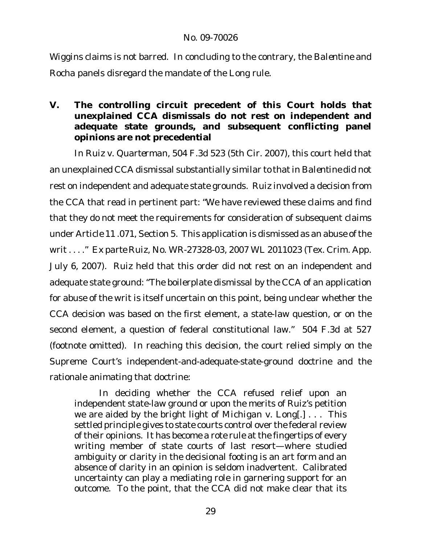*Wiggins* claims is not barred. In concluding to the contrary, the *Balentine* and *Rocha* panels disregard the mandate of the *Long* rule.

**V. The controlling circuit precedent of this Court holds that unexplained CCA dismissals do not rest on independent and adequate state grounds, and subsequent conflicting panel opinions are not precedential** 

In *Ruiz v. Quarterman*, 504 F.3d 523 (5th Cir. 2007), this court held that an unexplained CCA dismissal substantially similar to thatin *Balentine* did not rest on independent and adequate state grounds. *Ruiz* involved a decision from the CCA that read in pertinent part: "We have reviewed these claims and find that they do not meet the requirements for consideration of subsequent claims under Article 11 .071, Section 5. This application is dismissed as an abuse of the writ . . . ." *Ex parte Ruiz*, No. WR-27328-03, 2007 WL 2011023 (Tex. Crim. App. July 6, 2007). *Ruiz* held that this order did not rest on an independent and adequate state ground: "The boilerplate dismissal by the CCA of an application for abuse of the writ is itself uncertain on this point, being unclear whether the CCA decision was based on the first element, a state-law question, or on the second element, a question of federal constitutional law." 504 F.3d at 527 (footnote omitted). In reaching this decision, the court relied simply on the Supreme Court's independent-and-adequate-state-ground doctrine and the rationale animating that doctrine:

In deciding whether the CCA refused relief upon an independent state-law ground or upon the merits of Ruiz's petition we are aided by the bright light of *Michigan v. Long*[.] . . . This settled principle gives to state courts control over the federal review of their opinions. It has become a rote rule at the fingertips of every writing member of state courts of last resort—where studied ambiguity or clarity in the decisional footing is an art form and an absence of clarity in an opinion is seldom inadvertent. Calibrated uncertainty can play a mediating role in garnering support for an outcome. To the point, that the CCA did not make clear that its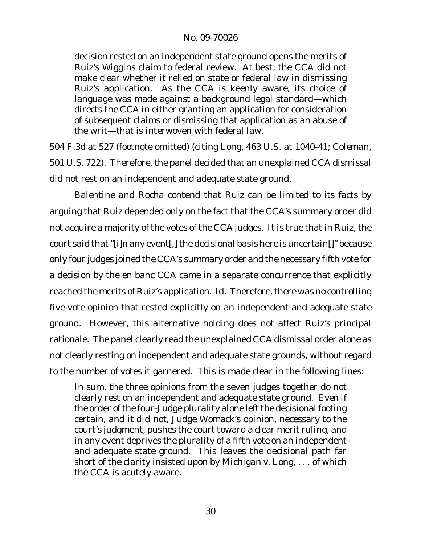decision rested on an independent state ground opens the merits of Ruiz's *Wiggins* claim to federal review. At best, the CCA did not make clear whether it relied on state or federal law in dismissing Ruiz's application. As the CCA is keenly aware, its choice of language was made against a background legal standard—which directs the CCA in either granting an application for consideration of subsequent claims or dismissing that application as an abuse of the writ—that is interwoven with federal law.

504 F.3d at 527 (footnote omitted) (citing *Long*, 463 U.S. at 1040-41; *Coleman*, 501 U.S. 722). Therefore, the panel decided that an unexplained CCA dismissal did not rest on an independent and adequate state ground.

*Balentine* and *Rocha* contend that *Ruiz* can be limited to its facts by arguing that *Ruiz* depended only on the fact that the CCA's summary order did not acquire a majority of the votes of the CCA judges. It is true that in *Ruiz*, the court said that"[i]n any event[,] the decisional basis here is uncertain[]" because only four judges joined the CCA's summary order and the necessary fifth vote for a decision by the en banc CCA came in a separate concurrence that explicitly reached the merits of Ruiz's application. *Id.* Therefore, there was no controlling five-vote opinion that rested explicitly on an independent and adequate state ground. However, this alternative holding does not affect *Ruiz*'s principal rationale. The panel clearly read the unexplained CCA dismissal order alone as not clearly resting on independent and adequate state grounds, without regard to the number of votes it garnered. This is made clear in the following lines:

In sum, the three opinions from the seven judges together do not clearly rest on an independent and adequate state ground. *Even if* the order of the four-Judge plurality alone left the decisional footing certain, *and it did not*, Judge Womack's opinion, necessary to the court's judgment, pushes the court toward a clear merit ruling, and in any event deprives the plurality of a fifth vote on an independent and adequate state ground. This leaves the decisional path far short of the clarity insisted upon by *Michigan v. Long*, . . . of which the CCA is acutely aware.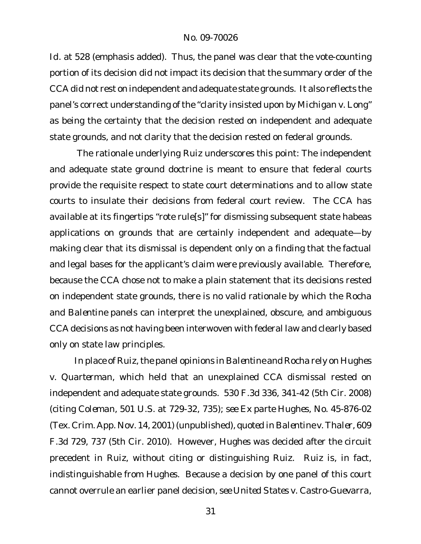*Id.* at 528 (emphasis added). Thus, the panel was clear that the vote-counting portion of its decision did not impact its decision that the summary order of the CCA did not rest on independent and adequate state grounds. It also reflects the panel's correct understanding of the "clarity insisted upon by *Michigan v. Long*" as being the certainty that the decision rested on independent and adequate state grounds, and *not* clarity that the decision rested on federal grounds.

The rationale underlying *Ruiz* underscores this point: The independent and adequate state ground doctrine is meant to ensure that federal courts provide the requisite respect to state court determinations and to allow state courts to insulate their decisions from federal court review. The CCA has available at its fingertips "rote rule[s]" for dismissing subsequent state habeas applications on grounds that are certainly independent and adequate—by making clear that its dismissal is dependent only on a finding that the factual and legal bases for the applicant's claim were previously available. Therefore, because the CCA chose not to make a plain statement that its decisions rested on independent state grounds, there is no valid rationale by which the *Rocha* and *Balentine* panels can interpret the unexplained, obscure, and ambiguous CCA decisions as not having been interwoven with federal law and clearly based only on state law principles.

In place of Ruiz, the panel opinions in Balentine and Rocha rely on Hughes *v. Quarterman*, which held that an unexplained CCA dismissal rested on independent and adequate state grounds. 530 F.3d 336, 341-42 (5th Cir. 2008) (citing *Coleman*, 501 U.S. at 729-32, 735); *see Ex parte Hughes*, No. 45-876-02 (Tex. Crim. App. Nov. 14, 2001) (unpublished), *quoted in Balentine v. Thaler*, 609 F.3d 729, 737 (5th Cir. 2010). However, *Hughes* was decided after the circuit precedent in *Ruiz*, without citing or distinguishing *Ruiz*. *Ruiz* is, in fact, indistinguishable from *Hughes*. Because a decision by one panel of this court cannot overrule an earlier panel decision, *see United States v. Castro-Guevarra*,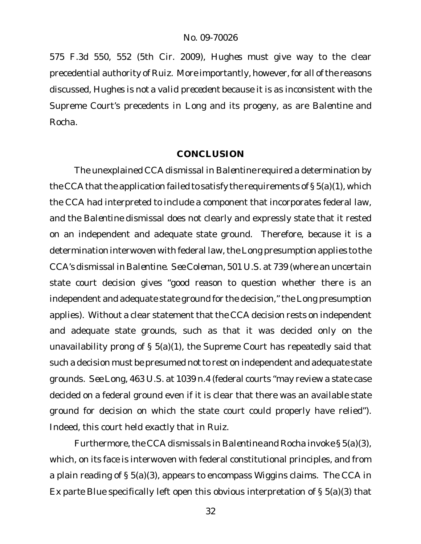575 F.3d 550, 552 (5th Cir. 2009), *Hughes* must give way to the clear precedential authority of *Ruiz*. More importantly, however, for all of the reasons discussed, *Hughes is not a valid precedent* because it is as inconsistent with the Supreme Court's precedents in *Long* and its progeny, as are *Balentine* and *Rocha*.

### **CONCLUSION**

The unexplained CCA dismissal in *Balentine* required a determination by the CCA that the application failed to satisfy the requirements of  $\S 5(a)(1)$ , which the CCA had interpreted to include a component that incorporates federal law, and the *Balentine* dismissal does not clearly and expressly state that it rested on an independent and adequate state ground. Therefore, because it is a determination interwoven with federal law, the Long presumption applies to the CCA's dismissal in *Balentine*. *See Coleman*, 501 U.S. at 739 (where an uncertain state court decision gives "good reason to question whether there is an independent and adequate state ground for the decision," the *Long* presumption applies). Without a clear statement that the CCA decision rests on independent and adequate state grounds, such as that it was decided only on the unavailability prong of § 5(a)(1), the Supreme Court has repeatedly said that such a decision must be presumed *not*to rest on independent and adequate state grounds. *See Long*, 463 U.S. at 1039 n.4 (federal courts "may review a state case decided on a federal ground even if it is clear that there was an available state ground for decision on which the state court could properly have relied"). Indeed, this court held exactly that in *Ruiz*.

Furthermore,the CCA dismissals in *Balentine* and *Rocha* invoke § 5(a)(3), which, on its face is interwoven with federal constitutional principles, and from a plain reading of § 5(a)(3), appears to encompass *Wiggins* claims. The CCA in *Ex parte Blue* specifically left open this obvious interpretation of § 5(a)(3) that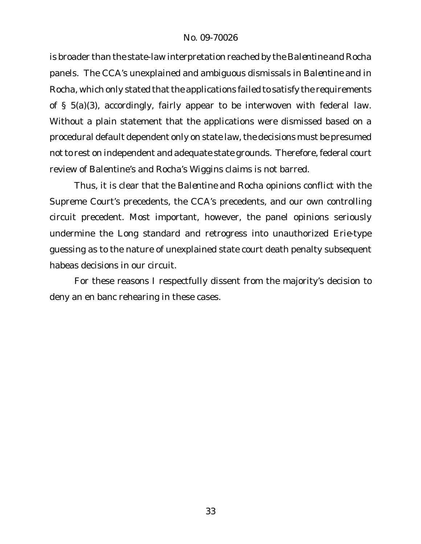is broader than the state-law interpretation reached by the *Balentine* and *Rocha* panels. The CCA's unexplained and ambiguous dismissals in *Balentine* and in Rocha, which only stated that the applications failed to satisfy the requirements of § 5(a)(3), accordingly, fairly appear to be interwoven with federal law. Without a plain statement that the applications were dismissed based on a procedural default dependent only on state law, the decisions must be presumed not to rest on independent and adequate state grounds. Therefore, federal court review of Balentine's and Rocha's *Wiggins* claims is not barred.

Thus, it is clear that the *Balentine* and *Rocha* opinions conflict with the Supreme Court's precedents, the CCA's precedents, and our own controlling circuit precedent. Most important, however, the panel opinions seriously undermine the *Long* standard and retrogress into unauthorized *Erie*-type guessing as to the nature of unexplained state court death penalty subsequent habeas decisions in our circuit.

For these reasons I respectfully dissent from the majority's decision to deny an en banc rehearing in these cases.